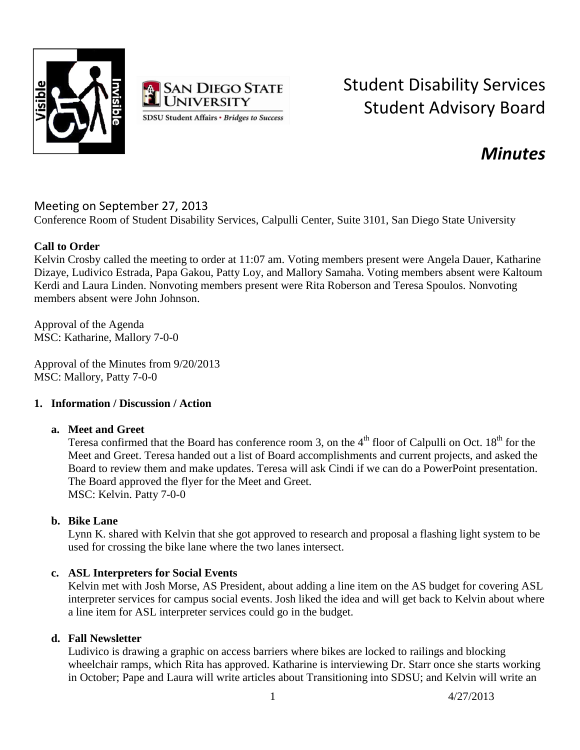



# Student Disability Services Student Advisory Board

# *Minutes*

## Meeting on September 27, 2013

Conference Room of Student Disability Services, Calpulli Center, Suite 3101, San Diego State University

### **Call to Order**

Kelvin Crosby called the meeting to order at 11:07 am. Voting members present were Angela Dauer, Katharine Dizaye, Ludivico Estrada, Papa Gakou, Patty Loy, and Mallory Samaha. Voting members absent were Kaltoum Kerdi and Laura Linden. Nonvoting members present were Rita Roberson and Teresa Spoulos. Nonvoting members absent were John Johnson.

Approval of the Agenda MSC: Katharine, Mallory 7-0-0

Approval of the Minutes from 9/20/2013 MSC: Mallory, Patty 7-0-0

#### **1. Information / Discussion / Action**

#### **a. Meet and Greet**

Teresa confirmed that the Board has conference room 3, on the  $4<sup>th</sup>$  floor of Calpulli on Oct.  $18<sup>th</sup>$  for the Meet and Greet. Teresa handed out a list of Board accomplishments and current projects, and asked the Board to review them and make updates. Teresa will ask Cindi if we can do a PowerPoint presentation. The Board approved the flyer for the Meet and Greet. MSC: Kelvin. Patty 7-0-0

#### **b. Bike Lane**

Lynn K. shared with Kelvin that she got approved to research and proposal a flashing light system to be used for crossing the bike lane where the two lanes intersect.

#### **c. ASL Interpreters for Social Events**

Kelvin met with Josh Morse, AS President, about adding a line item on the AS budget for covering ASL interpreter services for campus social events. Josh liked the idea and will get back to Kelvin about where a line item for ASL interpreter services could go in the budget.

#### **d. Fall Newsletter**

Ludivico is drawing a graphic on access barriers where bikes are locked to railings and blocking wheelchair ramps, which Rita has approved. Katharine is interviewing Dr. Starr once she starts working in October; Pape and Laura will write articles about Transitioning into SDSU; and Kelvin will write an

1 4/27/2013